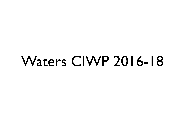# Waters CIWP 2016-18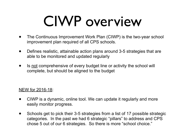# CIWP overview

- The Continuous Improvement Work Plan (CIWP) is the two-year school improvement plan required of all CPS schools.
- Defines realistic, attainable action plans around 3-5 strategies that are able to be monitored and updated regularly
- Is not comprehensive of every budget line or activity the school will complete, but should be aligned to the budget

#### NEW for 2016-18:

- CIWP is a dynamic, online tool. We can update it regularly and more easily monitor progress.
- Schools get to pick their 3-5 strategies from a list of 17 possible strategic categories. In the past we had 6 strategic "pillars" to address and CPS chose 5 out of our 6 strategies. So there is more "school choice."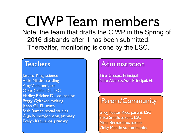CIWP Team members

Note: the team that drafts the CIWP in the Spring of 2016 disbands after it has been submitted. Thereafter, monitoring is done by the LSC.

### **Teachers**

Jeremy King, science Vicki Nissim, reading Amy Vechionni, art Carla Griffin, DL, LSC Hadley Bricker, DL, counselor Peggy Gyftakos, writing Jason Gil, EL, math Seth Raman, social studies Olga Nunez-Johnson, primary Evelyn Katsoulos, primary

### Administration

Titia Crespo, Principal Nilsa Alvarez, Asst Principal, EL

### Parent/Community

Greg Foster-Rice, parent, LSC Erica Smith, parent, LSC Alma Bernardino, parent Vicky Mendoza, community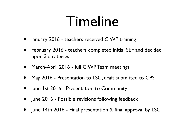# Timeline

- January 2016 teachers received CIWP training
- February 2016 teachers completed initial SEF and decided upon 3 strategies
- March-April 2016 full CIWP Team meetings
- May 2016 Presentation to LSC, draft submitted to CPS
- June 1st 2016 Presentation to Community
- June 2016 Possible revisions following feedback
- June 14th 2016 Final presentation & final approval by LSC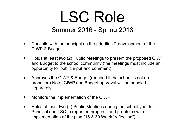## LSC Role Summer 2016 - Spring 2018

- Consults with the principal on the priorities & development of the CIWP & Budget
- Holds at least two (2) Public Meetings to present the proposed CIWP and Budget to the school community (the meetings must include an opportunity for public input and comment)
- Approves the CIWP & Budget (required if the school is not on probation) Note: CIWP and Budget approval will be handled separately
- Monitors the implementation of the CIWP
- Holds at least two (2) Public Meetings during the school year for Principal and LSC to report on progress and problems with implementation of the plan (15 & 30 Week "reflection")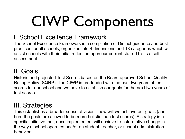# CIWP Components

### I. School Excellence Framework

The School Excellence Framework is a compilation of District guidance and best practices for all schools, organized into 4 dimensions and 18 categories which will assist schools with their initial reflection upon our current state. This is a selfassessment.

### II. Goals

Historic and projected Test Scores based on the Board approved School Quality Rating Policy (SQRP). The CIWP is pre-loaded with the past two years of test scores for our school and we have to establish our goals for the next two years of test scores.

### III. Strategies

This establishes a broader sense of vision - how will we achieve our goals (and here the goals are allowed to be more holistic than test scores). A strategy is a specific initiative that, once implemented, will achieve transformative change in the way a school operates and/or on student, teacher, or school administration behavior.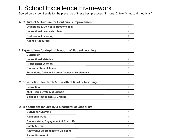### I. School Excellence Framework

Scored on a 4 point scale for the presence of these best practices (1=none, 2=few, 3=most, 4=nearly all)

#### **A. Culture of & Structure for Continuous Improvement**

| <b>Leadership &amp; Collective Responsibility</b> |  |
|---------------------------------------------------|--|
| <b>Instructional Leadership Team</b>              |  |
| <b>Professional Learning</b>                      |  |
| <b>Aligned Resources</b>                          |  |

#### **B. Expectations for depth & breadth of Student Learning**

| <b>Curriculum</b>                                  |  |
|----------------------------------------------------|--|
| <b>Instructional Materials</b>                     |  |
| <b>Professional Learning</b>                       |  |
| <b>Rigorous Student Tasks</b>                      |  |
| Transitions, College & Career Access & Persistence |  |

#### **C. Expectations for depth & breadth of Quality Teaching**

| <b>Instruction</b>                       |  |
|------------------------------------------|--|
| Multi-Tiered System of Support           |  |
| <b>Balanced Assessment &amp; Grading</b> |  |

#### **D. Expectations for Quality & Character of School Life**

| <b>Culture for Learning</b>                        |  |
|----------------------------------------------------|--|
| <b>Relational Trust</b>                            |  |
| <b>Student Voice, Engagement, &amp; Civic Life</b> |  |
| <b>Safety &amp; Order</b>                          |  |
| <b>Restorative Approaches to Discipline</b>        |  |
| <b>Parent Partnership</b>                          |  |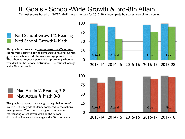### II. Goals - School-Wide Growth & 3rd-8th Attain

Our test scores based on NWEA-MAP (note - the data for 2015-16 is incomplete bc scores are still forthcoming).

#### Natl School Growth% Reading Natl School Growth% Math

This graph represents the average growth of Waters test scores from Spring-to-Spring compared to national average growth for schools with the same average pretest score. The school is assigned a percentile representing where it would fall on the national distribution. The national average is the 50th percentile.

> Natl Attain % Reading 3-8 Natl Attain % Math 3-8

This graph represents the average spring MAP score of Waters 3rd-8th grade students, compared to the national average score. The school is assigned a percentile representing where it would fall on the national distribution. The national average is the 50th percentile.



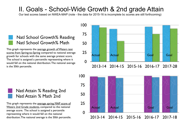### II. Goals - School-Wide Growth & 2nd grade Attain

Our test scores based on NWEA-MAP (note - the data for 2015-16 is incomplete bc scores are still forthcoming)

#### Natl School Growth% Reading Natl School Growth% Math

This graph represents the average growth of Waters test scores from Spring-to-Spring compared to national average growth for schools with the same average pretest score. The school is assigned a percentile representing where it would fall on the national distribution. The national average is the 50th percentile.

#### Natl Attain % Reading 2nd Natl Attain % Math 2nd

This graph represents the average spring MAP score of Waters 2nd Grade students, compared to the national average score. The school is assigned a percentile representing where it would fall on the national distribution. The national average is the 50th percentile.



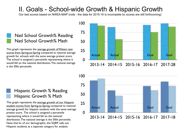### II. Goals - School-wide Growth & Hispanic Growth

Our test scores based on NWEA-MAP (note - the data for 2015-16 is incomplete bc scores are still forthcoming)

#### Natl School Growth% Reading Natl School Growth% Math

This graph represents the average growth of Waters test scores from Spring-to-Spring compared to national average growth for schools with the same average pretest score. The school is assigned a percentile representing where it would fall on the national distribution. The national average is the 50th percentile.

#### Hispanic Growth % Reading Hispanic Growth % Math

This graph represents the average growth of our Hispanic student scores from Spring-to-Spring compared to national average growth for hispanic students with the same average pretest score. The school is assigned a percentile representing where it would fall on the national distribution. The national average is the 50th percentile. Note that bc of our demographic, the SQRP calls out Hispanic students as a separate category for analysis.



2013-14 2014-15 2015-16 2016-17 2017-28

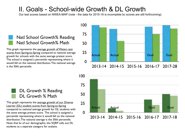### II. Goals - School-wide Growth & DL Growth

Our test scores based on NWEA-MAP (note - the data for 2015-16 is incomplete bc scores are still forthcoming)

#### Natl School Growth% Reading Natl School Growth% Math

This graph represents the average growth of Waters test scores from Spring-to-Spring compared to national average growth for schools with the same average pretest score. The school is assigned a percentile representing where it would fall on the national distribution. The national average is the 50th percentile.



#### 2013-14 2014-15 2015-16 2016-17 2017-28



#### DL Growth % Reading DL Growth % Math

This graph represents the average growth of our Diverse Learner (DL) student scores from Spring-to-Spring compared to national average growth for DL students with the same average pretest score. The school is assigned a percentile representing where it would fall on the national distribution. The national average is the 50th percentile. Note that bc of our demographic, the SQRP calls out DL students as a separate category for analysis.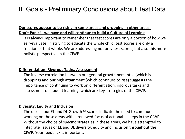### II. Goals - Preliminary Conclusions about Test Data

#### **<u>Our scores appear to be rising in some areas and dropping in other areas.</u> Don't Panic! - we have and will continue to build a Culture of Learning**

It is always important to remember that test scores are only a portion of how we self-evaluate. In striving to educate the whole child, test scores are only a fraction of that whole. We are addressing not only test scores, but also this more holistic perspective in the CIWP.

#### **Differentiation, Rigorous Tasks, Assessment**

The inverse correlation between our general growth percentile (which is dropping) and our high attainment (which continues to rise) suggests the importance of continuing to work on differentiation, rigorous tasks and assessment of student learning, which are key strategies of the CIWP.

#### **Diversity, Equity and Inclusion**

The dips in our EL and DL Growth % scores indicate the need to continue working on those areas with a renewed focus of actionable steps in the CIWP. Without the choice of specific strategies in these areas, we have attempted to integrate issues of EL and DL diversity, equity and inclusion throughout the CIWP. Your feedback is important.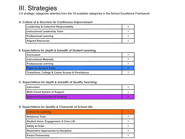3-5 strategic categories selected from the 18 available categories in the School Excellence Framework

#### **A. Culture of & Structure for Continuous Improvement**

| <b>Leadership &amp; Collective Responsibility</b> |  |
|---------------------------------------------------|--|
| <b>Instructional Leadership Team</b>              |  |
| <b>Professional Learning</b>                      |  |
| <b>Aligned Resources</b>                          |  |

#### **B. Expectations for depth & breadth of Student Learning**

| <b>Curriculum</b>                                  |  |
|----------------------------------------------------|--|
| <b>Instructional Materials</b>                     |  |
| <b>Professional Learning</b>                       |  |
| <b>Rigorous Student Tasks</b>                      |  |
| Transitions, College & Career Access & Persistence |  |

#### **C. Expectations for depth & breadth of Quality Teaching**

| <b>Instruction</b>                       |  |
|------------------------------------------|--|
| Multi-Tiered System of Support           |  |
| <b>Balanced Assessment &amp; Grading</b> |  |

#### **D. Expectations for Quality & Character of School Life**

| <b>Culture for Learning</b>                        |  |
|----------------------------------------------------|--|
| <b>Relational Trust</b>                            |  |
| <b>Student Voice, Engagement, &amp; Civic Life</b> |  |
| <b>Safety &amp; Order</b>                          |  |
| <b>Restorative Approaches to Discipline</b>        |  |
| <b>Parent Partnership</b>                          |  |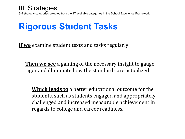3-5 strategic categories selected from the 17 available categories in the School Excellence Framework

## **Rigorous Student Tasks**

**If we** examine student texts and tasks regularly

**Then we see** a gaining of the necessary insight to gauge rigor and illuminate how the standards are actualized

**Which leads to** a better educational outcome for the students, such as students engaged and appropriately challenged and increased measurable achievement in regards to college and career readiness.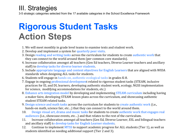3-5 strategic categories selected from the 17 available categories in the School Excellence Framework

## **Rigorous Student Tasks Action Steps**

- 1. We will meet monthly in grade level teams to examine texts and student work.
- 2. Develop and implement a system for quarterly peer visits.
- 3. Design reading and writing tasks across the curriculum for students to create authentic work that they can connect to the world around them (per common core standards).
- 4. Increase collaboration amongst all teachers (Gen Ed teachers, Diverse Learner teachers and ancillary staff) to develop tasks for diverse learner students.
- 5. Include appropriate language and content objectives for English Learners that are aligned with WIDA standards when designing ALL tasks for students.
- 6. Students will engage in hands-on, authentic ecological tasks in grades K-8.
- 7. Engage in ongoing professional development related to rigorous student tasks (STEAM, inclusive practices for EL and DL learners, developing authentic student work, ecology, NGSS implementation for science, modifying accommodations for students, etc.)
- 8. Enhance arts integration model by developing and implementing STEAM curriculum including having a maker faire, developing STEAM lesson plans across the curriculum, and showcasing authentic student STEAM related tasks.
- 9. Design science and math tasks across the curriculum for students to create authentic work (i.e., hands-on math, science fair, etc...) that they can connect to the world around them.
- 10. Design visual art, drama and music tasks for students to create authentic work that engages real audiences (i.e., showcase events, etc...) and that relates to the rest of the curriculum.
- 11. Increase collaboration amongst all teachers (Gen Ed, Diverse Learner, ESL and bilingual teachers and ancillary staff) to develop tasks for English Learner students.
- 12. Continue to implement MTSS to support academic progress for ALL students (Tier 1), as well as students identified as needing additional support (Tier 2 and 3).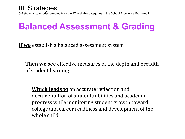3-5 strategic categories selected from the 17 available categories in the School Excellence Framework

## **Balanced Assessment & Grading**

**If we** establish a balanced assessment system

**Then we see** effective measures of the depth and breadth of student learning

**Which leads to** an accurate reflection and documentation of students abilities and academic progress while monitoring student growth toward college and career readiness and development of the whole child.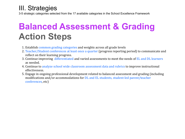3-5 strategic categories selected from the 17 available categories in the School Excellence Framework

## **Balanced Assessment & Grading Action Steps**

- 1. Establish common grading categories and weights across all grade levels
- 2. Teacher/Student conferences at least once a quarter (progress reporting period) to communicate and reflect on their learning progress.
- 3. Continue improving differentiated and varied assessments to meet the needs of EL and DL learners as needed.
- 4. Continue to analyze school wide classroom assessment data and rubrics to improve instructional effectiveness.
- 5. Engage in ongoing professional development related to balanced assessment and grading (including modifications and/or accommodations for DL and EL students, student-led parent/teacher conferences, etc)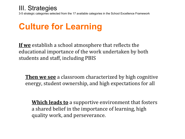3-5 strategic categories selected from the 17 available categories in the School Excellence Framework

## **Culture for Learning**

**If we** establish a school atmosphere that reflects the educational importance of the work undertaken by both students and staff, including PBIS

**Then we see** a classroom characterized by high cognitive energy, student ownership, and high expectations for all

**Which leads to** a supportive environment that fosters a shared belief in the importance of learning, high quality work, and perseverance.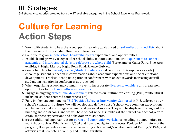3-5 strategic categories selected from the 17 available categories in the School Excellence Framework

## **Culture for Learning Action Steps**

- 1. Work with students to help them set specific learning goals based on self-reflection checklists about their learning during student/teacher conferences.
- 2. Continue to grow middle school Leadership Team experiences and opportunities.
- 3. Establish and grow a variety of after school clubs, activities, and fine-arts experiences to connect academic and interpersonal skills to celebrate the whole child (For example: Maker Faire, Fine-Arts exhibits, Pi Night, Literacy Night, Rock Band, Science Club, etc)
- 4. Create template for parent/teacher/student conferences at report card pickup (twice yearly) to encourage student reflection in conversations about academic expectations and social-emotional development. Track student participation in conferences with an eye towards increasing overall student participation in conferences at the school.
- 5. When organizing school and community events, incorporate diverse stakeholders and create new opportunities for inclusive cultural experiences.
- 6. Engage in ongoing professional development related to our culture for learning (PBIS, Multicultural inclusion, student-centered conferences, etc)
- 7. Fully implement components PBIS (Positive Behavior Intervention Supports) in K-8, tailored to our school's climate and culture. We will develop and define a list of school-wide common expectations and behaviors that encourage academic and personal success. They will be displayed throughout the building and classrooms and we will hold school-wide assemblies at the start of each school year to establish these expectations and behaviors with students.
- 8. create additional opportunities for parent and community workshops including, but not limited to, workshops such as: What is an IEP/504 and how to navigate the process, Ecology 101: History of the program, How parents can reinforce the learning at home, FAQ's of Standardized Testing, STEAM, and activities that promote a diversity and multiculturalism.